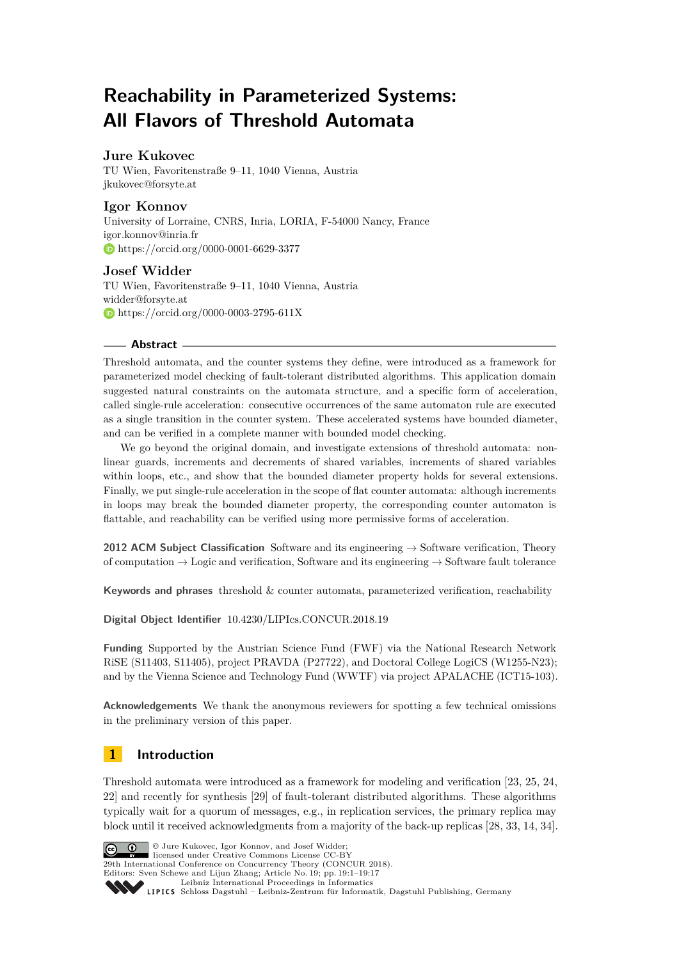# **Reachability in Parameterized Systems: All Flavors of Threshold Automata**

## **Jure Kukovec**

TU Wien, Favoritenstraße 9–11, 1040 Vienna, Austria [jkukovec@forsyte.at](mailto:jkukovec@forsyte.at)

## **Igor Konnov**

University of Lorraine, CNRS, Inria, LORIA, F-54000 Nancy, France [igor.konnov@inria.fr](mailto:igor.konnov@inria.fr) <https://orcid.org/0000-0001-6629-3377>

## **Josef Widder**

TU Wien, Favoritenstraße 9–11, 1040 Vienna, Austria [widder@forsyte.at](mailto:widder@forsyte.at) <https://orcid.org/0000-0003-2795-611X>

## **Abstract**

Threshold automata, and the counter systems they define, were introduced as a framework for parameterized model checking of fault-tolerant distributed algorithms. This application domain suggested natural constraints on the automata structure, and a specific form of acceleration, called single-rule acceleration: consecutive occurrences of the same automaton rule are executed as a single transition in the counter system. These accelerated systems have bounded diameter, and can be verified in a complete manner with bounded model checking.

We go beyond the original domain, and investigate extensions of threshold automata: nonlinear guards, increments and decrements of shared variables, increments of shared variables within loops, etc., and show that the bounded diameter property holds for several extensions. Finally, we put single-rule acceleration in the scope of flat counter automata: although increments in loops may break the bounded diameter property, the corresponding counter automaton is flattable, and reachability can be verified using more permissive forms of acceleration.

**2012 ACM Subject Classification** Software and its engineering → Software verification, Theory of computation  $\rightarrow$  Logic and verification, Software and its engineering  $\rightarrow$  Software fault tolerance

**Keywords and phrases** threshold & counter automata, parameterized verification, reachability

**Digital Object Identifier** [10.4230/LIPIcs.CONCUR.2018.19](http://dx.doi.org/10.4230/LIPIcs.CONCUR.2018.19)

**Funding** Supported by the Austrian Science Fund (FWF) via the National Research Network RiSE (S11403, S11405), project PRAVDA (P27722), and Doctoral College LogiCS (W1255-N23); and by the Vienna Science and Technology Fund (WWTF) via project APALACHE (ICT15-103).

**Acknowledgements** We thank the anonymous reviewers for spotting a few technical omissions in the preliminary version of this paper.

## **1 Introduction**

Threshold automata were introduced as a framework for modeling and verification [\[23,](#page-16-0) [25,](#page-16-1) [24,](#page-16-2) [22\]](#page-16-3) and recently for synthesis [\[29\]](#page-16-4) of fault-tolerant distributed algorithms. These algorithms typically wait for a quorum of messages, e.g., in replication services, the primary replica may block until it received acknowledgments from a majority of the back-up replicas [\[28,](#page-16-5) [33,](#page-16-6) [14,](#page-15-0) [34\]](#page-16-7).



 $\bigcirc$   $\bigcirc$  Jure Kukovec, Igor Konnov, and Josef Widder; **29th International Conference on Concurrency Theory (CONCUR 2018).** 

Editors: Sven Schewe and Lijun Zhang; Article No. 19; pp. 19:1–19[:17](#page-16-8)

[Leibniz International Proceedings in Informatics](http://www.dagstuhl.de/lipics/)

Leibniz International Froceedings in miormatics<br>
LIPICS [Schloss Dagstuhl – Leibniz-Zentrum für Informatik, Dagstuhl Publishing, Germany](http://www.dagstuhl.de)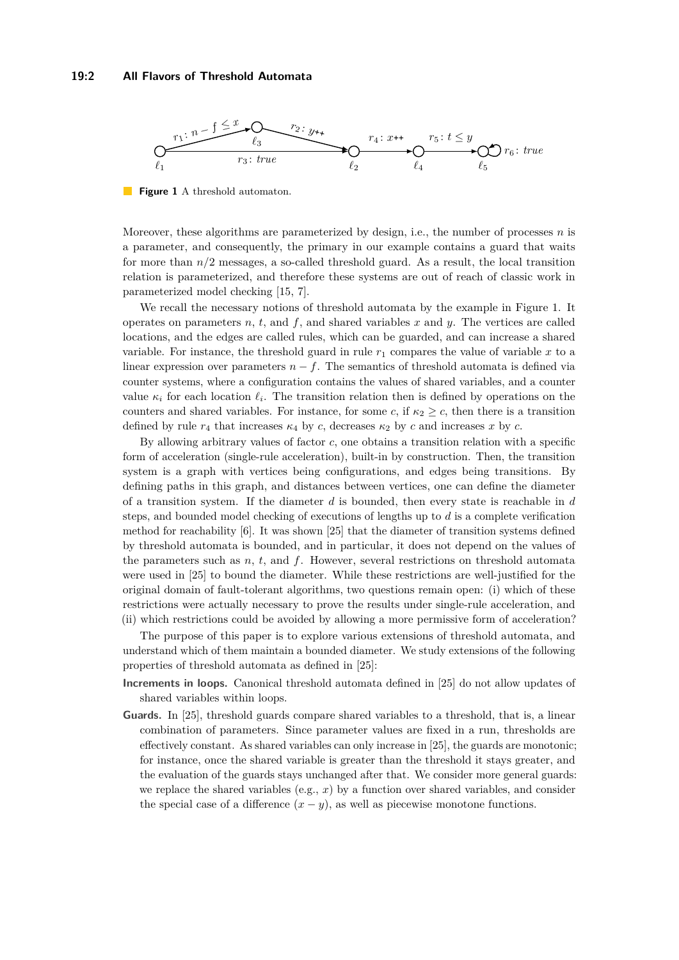#### **19:2 All Flavors of Threshold Automata**

<span id="page-1-0"></span>

**Figure 1** A threshold automaton.

Moreover, these algorithms are parameterized by design, i.e., the number of processes *n* is a parameter, and consequently, the primary in our example contains a guard that waits for more than *n/*2 messages, a so-called threshold guard. As a result, the local transition relation is parameterized, and therefore these systems are out of reach of classic work in parameterized model checking [\[15,](#page-15-1) [7\]](#page-15-2).

We recall the necessary notions of threshold automata by the example in Figure [1.](#page-1-0) It operates on parameters *n*, *t*, and *f*, and shared variables *x* and *y*. The vertices are called locations, and the edges are called rules, which can be guarded, and can increase a shared variable. For instance, the threshold guard in rule  $r_1$  compares the value of variable  $x$  to a linear expression over parameters  $n - f$ . The semantics of threshold automata is defined via counter systems, where a configuration contains the values of shared variables, and a counter value  $\kappa_i$  for each location  $\ell_i$ . The transition relation then is defined by operations on the counters and shared variables. For instance, for some *c*, if  $\kappa_2 \geq c$ , then there is a transition defined by rule  $r_4$  that increases  $\kappa_4$  by *c*, decreases  $\kappa_2$  by *c* and increases *x* by *c*.

By allowing arbitrary values of factor *c*, one obtains a transition relation with a specific form of acceleration (single-rule acceleration), built-in by construction. Then, the transition system is a graph with vertices being configurations, and edges being transitions. By defining paths in this graph, and distances between vertices, one can define the diameter of a transition system. If the diameter *d* is bounded, then every state is reachable in *d* steps, and bounded model checking of executions of lengths up to *d* is a complete verification method for reachability [\[6\]](#page-15-3). It was shown [\[25\]](#page-16-1) that the diameter of transition systems defined by threshold automata is bounded, and in particular, it does not depend on the values of the parameters such as  $n, t$ , and  $f$ . However, several restrictions on threshold automata were used in [\[25\]](#page-16-1) to bound the diameter. While these restrictions are well-justified for the original domain of fault-tolerant algorithms, two questions remain open: (i) which of these restrictions were actually necessary to prove the results under single-rule acceleration, and (ii) which restrictions could be avoided by allowing a more permissive form of acceleration?

The purpose of this paper is to explore various extensions of threshold automata, and understand which of them maintain a bounded diameter. We study extensions of the following properties of threshold automata as defined in [\[25\]](#page-16-1):

- **Increments in loops.** Canonical threshold automata defined in [\[25\]](#page-16-1) do not allow updates of shared variables within loops.
- **Guards.** In [\[25\]](#page-16-1), threshold guards compare shared variables to a threshold, that is, a linear combination of parameters. Since parameter values are fixed in a run, thresholds are effectively constant. As shared variables can only increase in [\[25\]](#page-16-1), the guards are monotonic; for instance, once the shared variable is greater than the threshold it stays greater, and the evaluation of the guards stays unchanged after that. We consider more general guards: we replace the shared variables (e.g.,  $x$ ) by a function over shared variables, and consider the special case of a difference  $(x - y)$ , as well as piecewise monotone functions.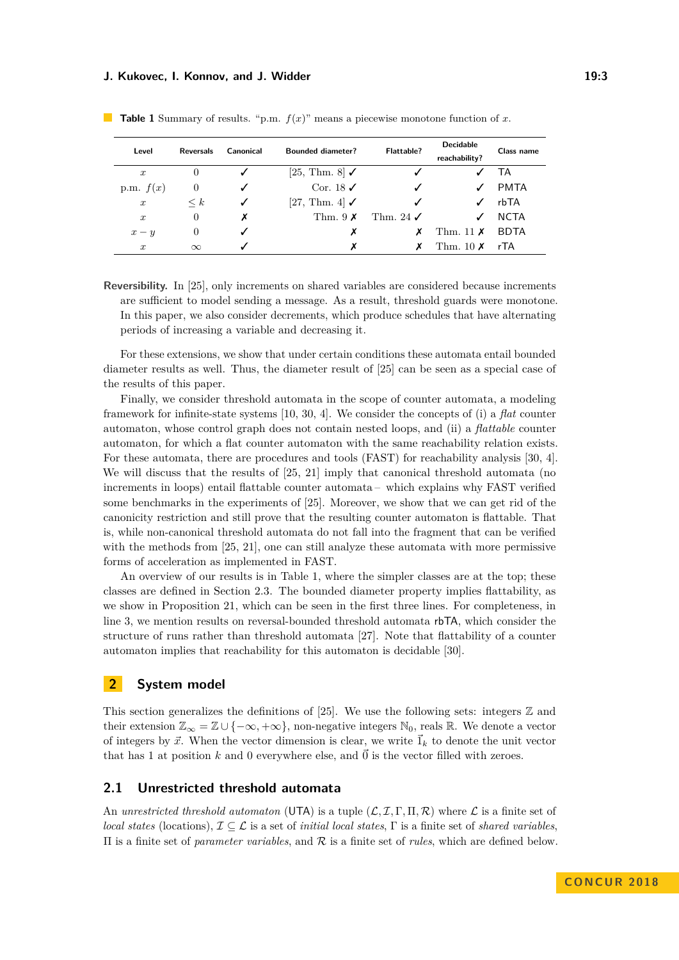| Level            | <b>Reversals</b> | Canonical | <b>Bounded diameter?</b>  | Flattable?           | <b>Decidable</b><br>reachability? | Class name  |
|------------------|------------------|-----------|---------------------------|----------------------|-----------------------------------|-------------|
| $\boldsymbol{x}$ | $\theta$         |           | [25, Thm. 8] $\checkmark$ |                      |                                   | ТA          |
| p.m. $f(x)$      | $\theta$         |           | Cor. 18 $\checkmark$      |                      |                                   | <b>PMTA</b> |
| $\boldsymbol{x}$ | $\leq k$         | ✓         | [27, Thm. 4] $\checkmark$ | ✓                    |                                   | rbTA        |
| $\boldsymbol{x}$ | $\overline{0}$   | х         | Thm. $9 \times$           | Thm. 24 $\checkmark$ |                                   | <b>NCTA</b> |
| $x - y$          | $\theta$         |           | х                         | х                    | Thm. 11 $\times$                  | <b>BDTA</b> |
| $\boldsymbol{x}$ | $\infty$         |           | х                         |                      | Thm. $10\ X$                      | rTA         |

<span id="page-2-0"></span>**Table 1** Summary of results. "p.m. *f*(*x*)" means a piecewise monotone function of *x*.

**Reversibility.** In [\[25\]](#page-16-1), only increments on shared variables are considered because increments are sufficient to model sending a message. As a result, threshold guards were monotone. In this paper, we also consider decrements, which produce schedules that have alternating periods of increasing a variable and decreasing it.

For these extensions, we show that under certain conditions these automata entail bounded diameter results as well. Thus, the diameter result of  $[25]$  can be seen as a special case of the results of this paper.

Finally, we consider threshold automata in the scope of counter automata, a modeling framework for infinite-state systems [\[10,](#page-15-4) [30,](#page-16-10) [4\]](#page-15-5). We consider the concepts of (i) a *flat* counter automaton, whose control graph does not contain nested loops, and (ii) a *flattable* counter automaton, for which a flat counter automaton with the same reachability relation exists. For these automata, there are procedures and tools (FAST) for reachability analysis [\[30,](#page-16-10) [4\]](#page-15-5). We will discuss that the results of  $[25, 21]$  $[25, 21]$  $[25, 21]$  imply that canonical threshold automata (no increments in loops) entail flattable counter automata – which explains why FAST verified some benchmarks in the experiments of [\[25\]](#page-16-1). Moreover, we show that we can get rid of the canonicity restriction and still prove that the resulting counter automaton is flattable. That is, while non-canonical threshold automata do not fall into the fragment that can be verified with the methods from [\[25,](#page-16-1) [21\]](#page-15-6), one can still analyze these automata with more permissive forms of acceleration as implemented in FAST.

An overview of our results is in Table [1,](#page-2-0) where the simpler classes are at the top; these classes are defined in Section [2.3.](#page-5-0) The bounded diameter property implies flattability, as we show in Proposition [21,](#page-12-0) which can be seen in the first three lines. For completeness, in line 3, we mention results on reversal-bounded threshold automata rbTA, which consider the structure of runs rather than threshold automata [\[27\]](#page-16-9). Note that flattability of a counter automaton implies that reachability for this automaton is decidable [\[30\]](#page-16-10).

## **2 System model**

This section generalizes the definitions of [\[25\]](#page-16-1). We use the following sets: integers  $\mathbb Z$  and their extension  $\mathbb{Z}_{\infty} = \mathbb{Z} \cup \{-\infty, +\infty\}$ , non-negative integers  $\mathbb{N}_0$ , reals  $\mathbb{R}$ . We denote a vector of integers by  $\vec{x}$ . When the vector dimension is clear, we write  $\vec{1}_k$  to denote the unit vector that has 1 at position  $k$  and 0 everywhere else, and  $\vec{0}$  is the vector filled with zeroes.

### **2.1 Unrestricted threshold automata**

An *unrestricted threshold automaton* (UTA) is a tuple  $(L, \mathcal{I}, \Gamma, \Pi, \mathcal{R})$  where L is a finite set of *local states* (locations),  $\mathcal{I} \subseteq \mathcal{L}$  is a set of *initial local states*,  $\Gamma$  is a finite set of *shared variables*. Π is a finite set of *parameter variables*, and R is a finite set of *rules*, which are defined below.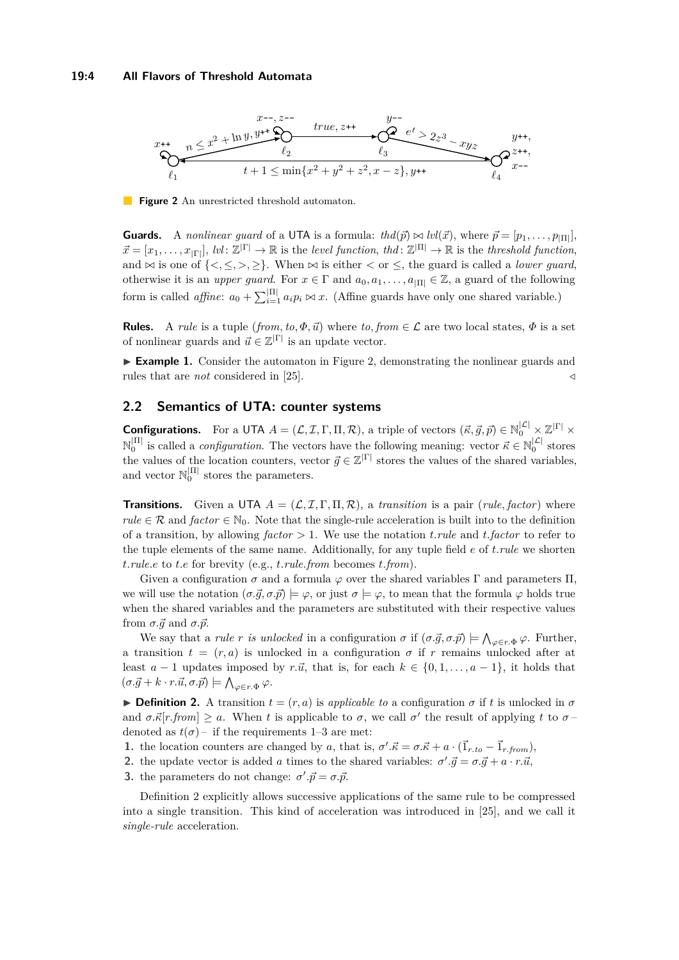#### **19:4 All Flavors of Threshold Automata**

<span id="page-3-0"></span>

**Figure 2** An unrestricted threshold automaton.

**Guards.** A *nonlinear guard* of a UTA is a formula:  $thd(\vec{p}) \bowtie \text{lvl}(\vec{x})$ , where  $\vec{p} = [p_1, \ldots, p_{|\Pi|}]$ ,  $\vec{x} = [x_1, \ldots, x_{|\Gamma|}],$  *lvl*:  $\mathbb{Z}^{|\Gamma|} \to \mathbb{R}$  is the *level function*, *thd*:  $\mathbb{Z}^{|\Pi|} \to \mathbb{R}$  is the *threshold function*, and  $\bowtie$  is one of  $\{\leq, \leq, >, \geq\}$ . When  $\bowtie$  is either  $\leq$  or  $\leq$ , the guard is called a *lower guard*, otherwise it is an *upper guard*. For  $x \in \Gamma$  and  $a_0, a_1, \ldots, a_{|\Pi|} \in \mathbb{Z}$ , a guard of the following form is called *affine*:  $a_0 + \sum_{i=1}^{\vert \Pi \vert} a_i p_i \bowtie x$ . (Affine guards have only one shared variable.)

**Rules.** A *rule* is a tuple (*from, to,*  $\Phi$ *,*  $\vec{u}$ ) where *to, from*  $\in \mathcal{L}$  are two local states,  $\Phi$  is a set of nonlinear guards and  $\vec{u} \in \mathbb{Z}^{|\Gamma|}$  is an update vector.

► **Example 1.** Consider the automaton in Figure [2,](#page-3-0) demonstrating the nonlinear guards and rules that are *not* considered in [\[25\]](#page-16-1).  $\triangleleft$ 

## <span id="page-3-4"></span>**2.2 Semantics of UTA: counter systems**

**Configurations.** For a UTA  $A = (\mathcal{L}, \mathcal{I}, \Gamma, \Pi, \mathcal{R})$ , a triple of vectors  $(\vec{\kappa}, \vec{g}, \vec{p}) \in \mathbb{N}_0^{|\mathcal{L}|} \times \mathbb{Z}^{|\Gamma|} \times$  $\mathbb{N}_0^{|\Pi|}$  is called a *configuration*. The vectors have the following meaning: vector  $\vec{\kappa} \in \mathbb{N}_0^{|\mathcal{L}|}$  stores the values of the location counters, vector  $\vec{g} \in \mathbb{Z}^{|\Gamma|}$  stores the values of the shared variables, and vector  $\mathbb{N}_0^{|\Pi|}$  stores the parameters.

**Transitions.** Given a UTA  $A = (\mathcal{L}, \mathcal{I}, \Gamma, \Pi, \mathcal{R})$ , a *transition* is a pair (*rule, factor*) where *rule*  $\in \mathcal{R}$  and *factor*  $\in \mathbb{N}_0$ . Note that the single-rule acceleration is built into to the definition of a transition, by allowing  $factor > 1$ . We use the notation *t. rule* and *t. factor* to refer to the tuple elements of the same name. Additionally, for any tuple field *e* of *t.rule* we shorten *t.rule.e* to *t.e* for brevity (e.g., *t.rule.from* becomes *t.from*).

Given a configuration  $\sigma$  and a formula  $\varphi$  over the shared variables  $\Gamma$  and parameters  $\Pi$ , we will use the notation  $(\sigma \vec{q}, \sigma \vec{p}) \models \varphi$ , or just  $\sigma \models \varphi$ , to mean that the formula  $\varphi$  holds true when the shared variables and the parameters are substituted with their respective values from  $\sigma \cdot \vec{q}$  and  $\sigma \cdot \vec{p}$ .

We say that a *rule r is unlocked* in a configuration  $\sigma$  if  $(\sigma \cdot \vec{g}, \sigma \cdot \vec{p}) \models \bigwedge_{\varphi \in r \cdot \Phi} \varphi$ . Further, a transition  $t = (r, a)$  is unlocked in a configuration  $\sigma$  if  $r$  remains unlocked after at least  $a - 1$  updates imposed by  $r.\vec{u}$ , that is, for each  $k \in \{0, 1, \ldots, a - 1\}$ , it holds that  $(\sigma \cdot \vec{g} + k \cdot r \cdot \vec{u}, \sigma \cdot \vec{p}) \models \bigwedge_{\varphi \in r \cdot \Phi} \varphi.$ 

<span id="page-3-3"></span>**Definition 2.** A transition  $t = (r, a)$  is *applicable to* a configuration  $\sigma$  if t is unlocked in  $\sigma$ and  $\sigma.\vec{\kappa}[r\text{.from}] \geq a$ . When t is applicable to  $\sigma$ , we call  $\sigma'$  the result of applying t to  $\sigma$ denoted as  $t(\sigma)$  – if the requirements [1](#page-3-1)[–3](#page-3-2) are met:

- <span id="page-3-1"></span>**1.** the location counters are changed by *a*, that is,  $\sigma' \cdot \vec{\kappa} = \sigma \cdot \vec{\kappa} + a \cdot (\vec{1}_{r,to} - \vec{1}_{r,from})$ ,
- **2.** the update vector is added *a* times to the shared variables:  $\sigma' \cdot \vec{g} = \sigma \cdot \vec{g} + a \cdot r \cdot \vec{u}$ ,
- <span id="page-3-2"></span>**3.** the parameters do not change:  $\sigma'.\vec{p} = \sigma.\vec{p}.$

Definition [2](#page-3-3) explicitly allows successive applications of the same rule to be compressed into a single transition. This kind of acceleration was introduced in [\[25\]](#page-16-1), and we call it *single-rule* acceleration.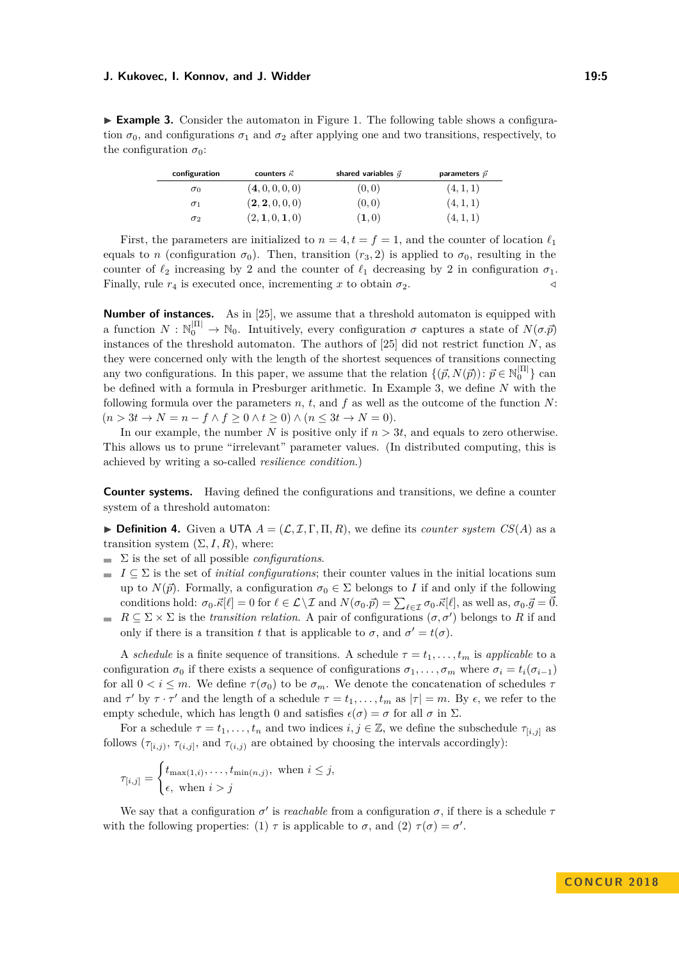<span id="page-4-0"></span>► **Example 3.** Consider the automaton in Figure [1.](#page-1-0) The following table shows a configuration  $\sigma_0$ , and configurations  $\sigma_1$  and  $\sigma_2$  after applying one and two transitions, respectively, to the configuration  $\sigma_0$ :

| configuration | counters $\vec{\kappa}$ | shared variables $\vec{q}$ | parameters $\vec{p}$ |
|---------------|-------------------------|----------------------------|----------------------|
| $\sigma_0$    | (4, 0, 0, 0, 0)         | (0, 0)                     | (4, 1, 1)            |
| $\sigma_1$    | (2, 2, 0, 0, 0)         | (0, 0)                     | (4, 1, 1)            |
| $\sigma_2$    | (2, 1, 0, 1, 0)         | $(\mathbf{1},0)$           | (4, 1, 1)            |

First, the parameters are initialized to  $n = 4$ ,  $t = f = 1$ , and the counter of location  $\ell_1$ equals to *n* (configuration  $\sigma_0$ ). Then, transition  $(r_3, 2)$  is applied to  $\sigma_0$ , resulting in the counter of  $\ell_2$  increasing by 2 and the counter of  $\ell_1$  decreasing by 2 in configuration  $\sigma_1$ . Finally, rule  $r_4$  is executed once, incrementing x to obtain  $\sigma_2$ .

**Number of instances.** As in [\[25\]](#page-16-1), we assume that a threshold automaton is equipped with a function  $N : \mathbb{N}_0^{\vert \Pi \vert} \to \mathbb{N}_0$ . Intuitively, every configuration  $\sigma$  captures a state of  $N(\sigma, \vec{p})$ instances of the threshold automaton. The authors of [\[25\]](#page-16-1) did not restrict function *N*, as they were concerned only with the length of the shortest sequences of transitions connecting any two configurations. In this paper, we assume that the relation  $\{(\vec{p}, N(\vec{p})) : \vec{p} \in \mathbb{N}_0^{\vert \Pi \vert} \}$  can be defined with a formula in Presburger arithmetic. In Example [3,](#page-4-0) we define *N* with the following formula over the parameters *n*, *t*, and *f* as well as the outcome of the function *N*:  $(n > 3t \rightarrow N = n - f \land f \geq 0 \land t \geq 0) \land (n \leq 3t \rightarrow N = 0).$ 

In our example, the number  $N$  is positive only if  $n > 3t$ , and equals to zero otherwise. This allows us to prune "irrelevant" parameter values. (In distributed computing, this is achieved by writing a so-called *resilience condition*.)

**Counter systems.** Having defined the configurations and transitions, we define a counter system of a threshold automaton:

**Definition 4.** Given a UTA  $A = (\mathcal{L}, \mathcal{I}, \Gamma, \Pi, R)$ , we define its *counter system CS(A)* as a transition system  $(\Sigma, I, R)$ , where:

- $\sum$  is the set of all possible *configurations*.
- $I \subseteq \Sigma$  is the set of *initial configurations*; their counter values in the initial locations sum up to  $N(\vec{p})$ . Formally, a configuration  $\sigma_0 \in \Sigma$  belongs to *I* if and only if the following conditions hold:  $\sigma_0 \cdot \vec{k}[\ell] = 0$  for  $\ell \in \mathcal{L} \setminus \mathcal{I}$  and  $N(\sigma_0 \cdot \vec{p}) = \sum_{\ell \in \mathcal{I}} \sigma_0 \cdot \vec{k}[\ell]$ , as well as,  $\sigma_0 \cdot \vec{g} = \vec{0}$ .
- $R \subseteq \Sigma \times \Sigma$  is the *transition relation*. A pair of configurations  $(\sigma, \sigma')$  belongs to R if and only if there is a transition *t* that is applicable to  $\sigma$ , and  $\sigma' = t(\sigma)$ .

A *schedule* is a finite sequence of transitions. A schedule  $\tau = t_1, \ldots, t_m$  is *applicable* to a configuration  $\sigma_0$  if there exists a sequence of configurations  $\sigma_1, \ldots, \sigma_m$  where  $\sigma_i = t_i(\sigma_{i-1})$ for all  $0 < i \leq m$ . We define  $\tau(\sigma_0)$  to be  $\sigma_m$ . We denote the concatenation of schedules  $\tau$ and  $\tau'$  by  $\tau \cdot \tau'$  and the length of a schedule  $\tau = t_1, \ldots, t_m$  as  $|\tau| = m$ . By  $\epsilon$ , we refer to the empty schedule, which has length 0 and satisfies  $\epsilon(\sigma) = \sigma$  for all  $\sigma$  in  $\Sigma$ .

For a schedule  $\tau = t_1, \ldots, t_n$  and two indices  $i, j \in \mathbb{Z}$ , we define the subschedule  $\tau_{[i,j]}$  as follows  $(\tau_{[i,j)}, \tau_{(i,j)}$ , and  $\tau_{(i,j)}$  are obtained by choosing the intervals accordingly):

$$
\tau_{[i,j]} = \begin{cases} t_{\max(1,i)}, \dots, t_{\min(n,j)}, \text{ when } i \leq j, \\ \epsilon, \text{ when } i > j \end{cases}
$$

We say that a configuration  $\sigma'$  is *reachable* from a configuration  $\sigma$ , if there is a schedule  $\tau$ with the following properties: (1)  $\tau$  is applicable to  $\sigma$ , and (2)  $\tau(\sigma) = \sigma'$ .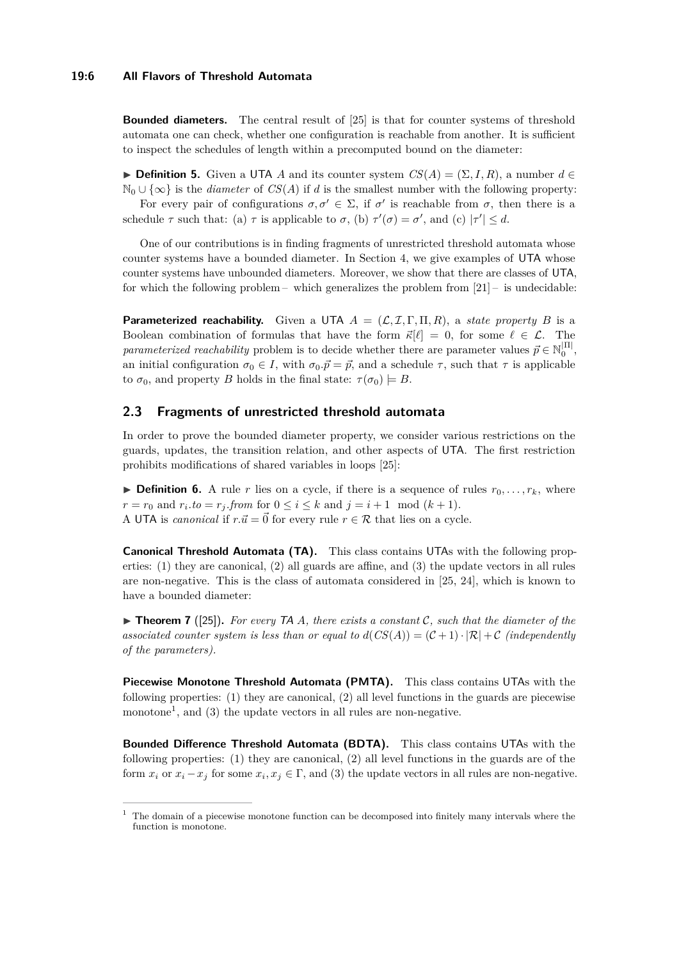**Bounded diameters.** The central result of [\[25\]](#page-16-1) is that for counter systems of threshold automata one can check, whether one configuration is reachable from another. It is sufficient to inspect the schedules of length within a precomputed bound on the diameter:

 $\triangleright$  **Definition 5.** Given a UTA *A* and its counter system  $CS(A) = (\Sigma, I, R)$ , a number *d* ∈  $\mathbb{N}_0 \cup \{\infty\}$  is the *diameter* of *CS*(*A*) if *d* is the smallest number with the following property:

For every pair of configurations  $\sigma, \sigma' \in \Sigma$ , if  $\sigma'$  is reachable from  $\sigma$ , then there is a schedule  $\tau$  such that: (a)  $\tau$  is applicable to  $\sigma$ , (b)  $\tau'(\sigma) = \sigma'$ , and (c)  $|\tau'| \leq d$ .

One of our contributions is in finding fragments of unrestricted threshold automata whose counter systems have a bounded diameter. In Section [4,](#page-8-0) we give examples of UTA whose counter systems have unbounded diameters. Moreover, we show that there are classes of UTA, for which the following problem – which generalizes the problem from  $[21]$  – is undecidable:

**Parameterized reachability.** Given a UTA  $A = (\mathcal{L}, \mathcal{I}, \Gamma, \Pi, R)$ , a *state property* B is a Boolean combination of formulas that have the form  $\vec{\kappa}[\ell] = 0$ , for some  $\ell \in \mathcal{L}$ . The *parameterized reachability* problem is to decide whether there are parameter values  $\vec{p} \in \mathbb{N}_0^{|\Pi|}$ , an initial configuration  $\sigma_0 \in I$ , with  $\sigma_0 \cdot \vec{p} = \vec{p}$ , and a schedule  $\tau$ , such that  $\tau$  is applicable to  $\sigma_0$ , and property *B* holds in the final state:  $\tau(\sigma_0) \models B$ .

## <span id="page-5-0"></span>**2.3 Fragments of unrestricted threshold automata**

In order to prove the bounded diameter property, we consider various restrictions on the guards, updates, the transition relation, and other aspects of UTA. The first restriction prohibits modifications of shared variables in loops [\[25\]](#page-16-1):

**If Definition 6.** A rule *r* lies on a cycle, if there is a sequence of rules  $r_0, \ldots, r_k$ , where *r* = *r*<sub>0</sub> and *r*<sub>*i*</sub>.*to* = *r*<sub>*j*</sub>.*from* for  $0 \le i \le k$  and  $j = i + 1 \mod (k + 1)$ . A UTA is *canonical* if  $r.\vec{u} = \vec{0}$  for every rule  $r \in \mathcal{R}$  that lies on a cycle.

**Canonical Threshold Automata (TA).** This class contains UTAs with the following properties: (1) they are canonical, (2) all guards are affine, and (3) the update vectors in all rules are non-negative. This is the class of automata considered in [\[25,](#page-16-1) [24\]](#page-16-2), which is known to have a bounded diameter:

I **Theorem 7** ([\[25\]](#page-16-1))**.** *For every* TA *A, there exists a constant* C*, such that the diameter of the associated counter system is less than or equal to*  $d(CS(A)) = (C+1) \cdot |R| + C$  *(independently of the parameters).*

**Piecewise Monotone Threshold Automata (PMTA).** This class contains UTAs with the following properties:  $(1)$  they are canonical,  $(2)$  all level functions in the guards are piecewise monotone<sup>[1](#page-5-1)</sup>, and (3) the update vectors in all rules are non-negative.

**Bounded Difference Threshold Automata (BDTA).** This class contains UTAs with the following properties: (1) they are canonical, (2) all level functions in the guards are of the form  $x_i$  or  $x_i - x_j$  for some  $x_i, x_j \in \Gamma$ , and (3) the update vectors in all rules are non-negative.

<span id="page-5-1"></span> $1$  The domain of a piecewise monotone function can be decomposed into finitely many intervals where the function is monotone.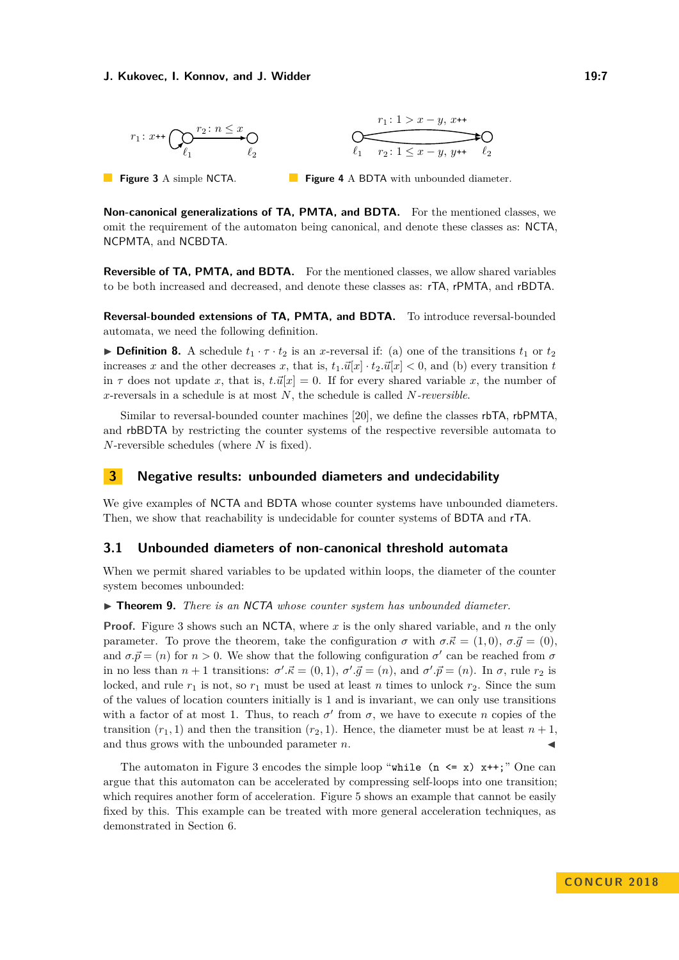<span id="page-6-1"></span>

**Figure 3** A simple NCTA. **Figure 4** A BDTA with unbounded diameter.

**Non-canonical generalizations of TA, PMTA, and BDTA.** For the mentioned classes, we omit the requirement of the automaton being canonical, and denote these classes as: NCTA, NCPMTA, and NCBDTA.

**Reversible of TA, PMTA, and BDTA.** For the mentioned classes, we allow shared variables to be both increased and decreased, and denote these classes as: rTA, rPMTA, and rBDTA.

**Reversal-bounded extensions of TA, PMTA, and BDTA.** To introduce reversal-bounded automata, we need the following definition.

**Definition 8.** A schedule  $t_1 \cdot \tau \cdot t_2$  is an *x*-reversal if: (a) one of the transitions  $t_1$  or  $t_2$ increases *x* and the other decreases *x*, that is,  $t_1 \cdot \vec{u}[x] \cdot t_2 \cdot \vec{u}[x] < 0$ , and (b) every transition *t* in  $\tau$  does not update *x*, that is,  $t.\vec{u}[x] = 0$ . If for every shared variable *x*, the number of *x*-reversals in a schedule is at most *N*, the schedule is called *N-reversible*.

Similar to reversal-bounded counter machines [\[20\]](#page-15-7), we define the classes rbTA, rbPMTA, and rbBDTA by restricting the counter systems of the respective reversible automata to *N*-reversible schedules (where *N* is fixed).

## **3 Negative results: unbounded diameters and undecidability**

We give examples of NCTA and BDTA whose counter systems have unbounded diameters. Then, we show that reachability is undecidable for counter systems of BDTA and rTA.

## **3.1 Unbounded diameters of non-canonical threshold automata**

When we permit shared variables to be updated within loops, the diameter of the counter system becomes unbounded:

<span id="page-6-0"></span>I **Theorem 9.** *There is an* NCTA *whose counter system has unbounded diameter.*

**Proof.** Figure [3](#page-6-1) shows such an NCTA, where *x* is the only shared variable, and *n* the only parameter. To prove the theorem, take the configuration  $\sigma$  with  $\sigma.\vec{\kappa} = (1,0), \sigma.\vec{g} = (0),$ and  $\sigma \cdot \vec{p} = (n)$  for  $n > 0$ . We show that the following configuration  $\sigma'$  can be reached from  $\sigma$ in no less than  $n + 1$  transitions:  $\sigma' \cdot \vec{\kappa} = (0, 1), \sigma' \cdot \vec{g} = (n)$ , and  $\sigma' \cdot \vec{p} = (n)$ . In  $\sigma$ , rule  $r_2$  is locked, and rule  $r_1$  is not, so  $r_1$  must be used at least  $n$  times to unlock  $r_2$ . Since the sum of the values of location counters initially is 1 and is invariant, we can only use transitions with a factor of at most 1. Thus, to reach  $\sigma'$  from  $\sigma$ , we have to execute *n* copies of the transition  $(r_1, 1)$  and then the transition  $(r_2, 1)$ . Hence, the diameter must be at least  $n + 1$ , and thus grows with the unbounded parameter  $n$ .

The automaton in Figure [3](#page-6-1) encodes the simple loop "while  $(n \le x)$  x++;" One can argue that this automaton can be accelerated by compressing self-loops into one transition; which requires another form of acceleration. Figure [5](#page-7-2) shows an example that cannot be easily fixed by this. This example can be treated with more general acceleration techniques, as demonstrated in Section [6.](#page-12-1)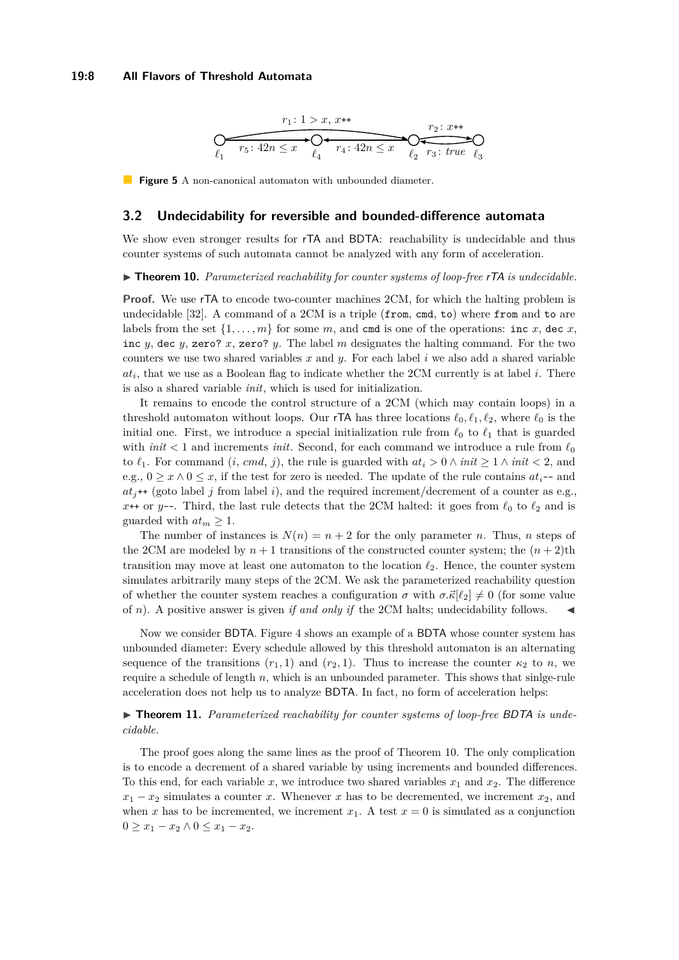#### <span id="page-7-2"></span>**19:8 All Flavors of Threshold Automata**



**Figure 5** A non-canonical automaton with unbounded diameter.

#### **3.2 Undecidability for reversible and bounded-difference automata**

We show even stronger results for  $\mathsf{rTA}$  and BDTA: reachability is undecidable and thus counter systems of such automata cannot be analyzed with any form of acceleration.

<span id="page-7-1"></span>▶ **Theorem 10.** *Parameterized reachability for counter systems of loop-free rTA is undecidable.* 

**Proof.** We use rTA to encode two-counter machines 2CM, for which the halting problem is undecidable [\[32\]](#page-16-11). A command of a 2CM is a triple (from, cmd, to) where from and to are labels from the set  $\{1, \ldots, m\}$  for some *m*, and cmd is one of the operations: inc *x*, dec *x*, inc *y*, dec *y*, zero? *x*, zero? *y*. The label *m* designates the halting command. For the two counters we use two shared variables *x* and *y*. For each label *i* we also add a shared variable  $at_i$ , that we use as a Boolean flag to indicate whether the 2CM currently is at label  $i$ . There is also a shared variable *init*, which is used for initialization.

It remains to encode the control structure of a 2CM (which may contain loops) in a threshold automaton without loops. Our **rTA** has three locations  $\ell_0, \ell_1, \ell_2$ , where  $\ell_0$  is the initial one. First, we introduce a special initialization rule from  $\ell_0$  to  $\ell_1$  that is guarded with *init*  $\lt$  1 and increments *init*. Second, for each command we introduce a rule from  $\ell_0$ to  $\ell_1$ . For command  $(i, cmd, j)$ , the rule is guarded with  $at_i > 0 \land init \geq 1 \land init < 2$ , and e.g.,  $0 \geq x \wedge 0 \leq x$ , if the test for zero is needed. The update of the rule contains  $at_i$ -- and  $at<sub>j</sub>$ ++ (goto label *j* from label *i*), and the required increment/decrement of a counter as e.g., *x*++ or *y*--. Third, the last rule detects that the 2CM halted: it goes from  $\ell_0$  to  $\ell_2$  and is guarded with  $at_m \geq 1$ .

The number of instances is  $N(n) = n + 2$  for the only parameter *n*. Thus, *n* steps of the 2CM are modeled by  $n+1$  transitions of the constructed counter system; the  $(n+2)$ <sup>th</sup> transition may move at least one automaton to the location  $\ell_2$ . Hence, the counter system simulates arbitrarily many steps of the 2CM. We ask the parameterized reachability question of whether the counter system reaches a configuration  $\sigma$  with  $\sigma \cdot \vec{k}[\ell_2] \neq 0$  (for some value of *n*). A positive answer is given *if and only if* the 2CM halts; undecidability follows.

Now we consider BDTA. Figure [4](#page-6-1) shows an example of a BDTA whose counter system has unbounded diameter: Every schedule allowed by this threshold automaton is an alternating sequence of the transitions  $(r_1, 1)$  and  $(r_2, 1)$ . Thus to increase the counter  $\kappa_2$  to *n*, we require a schedule of length *n*, which is an unbounded parameter. This shows that sinlge-rule acceleration does not help us to analyze BDTA. In fact, no form of acceleration helps:

<span id="page-7-0"></span>▶ **Theorem 11.** Parameterized reachability for counter systems of loop-free BDTA is unde*cidable.*

The proof goes along the same lines as the proof of Theorem [10.](#page-7-1) The only complication is to encode a decrement of a shared variable by using increments and bounded differences. To this end, for each variable  $x$ , we introduce two shared variables  $x_1$  and  $x_2$ . The difference  $x_1 - x_2$  simulates a counter *x*. Whenever *x* has to be decremented, we increment  $x_2$ , and when *x* has to be incremented, we increment  $x_1$ . A test  $x = 0$  is simulated as a conjunction 0 ≥  $x_1 - x_2$  ∧ 0 ≤  $x_1 - x_2$ .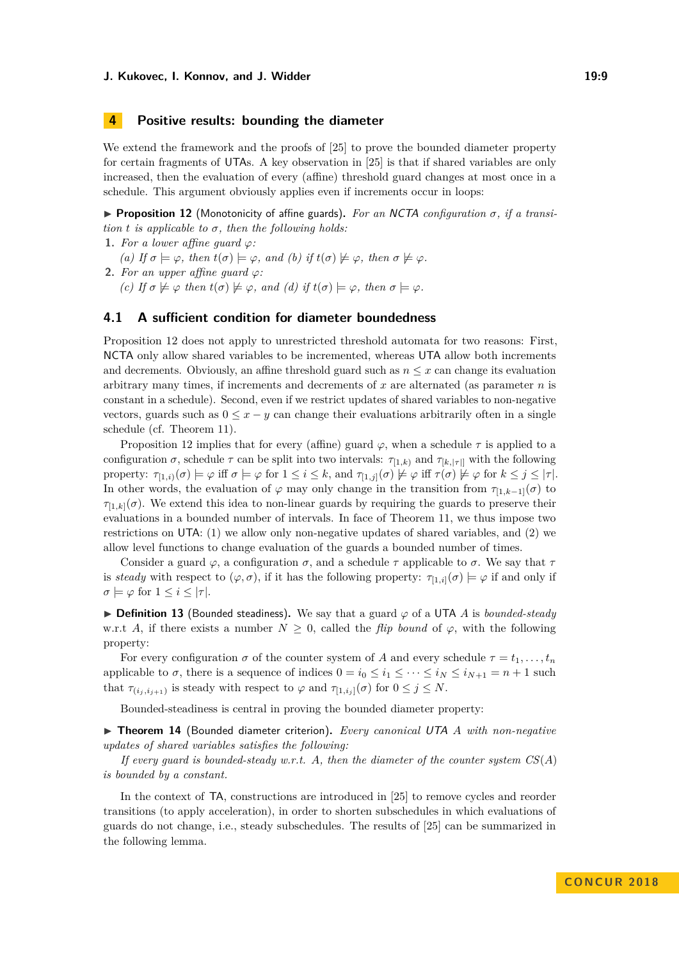## <span id="page-8-0"></span>**4 Positive results: bounding the diameter**

We extend the framework and the proofs of [\[25\]](#page-16-1) to prove the bounded diameter property for certain fragments of UTAs. A key observation in [\[25\]](#page-16-1) is that if shared variables are only increased, then the evaluation of every (affine) threshold guard changes at most once in a schedule. This argument obviously applies even if increments occur in loops:

<span id="page-8-1"></span>**Proposition 12** (Monotonicity of affine guards). For an NCTA configuration  $\sigma$ , if a transi*tion*  $t$  *is applicable to*  $\sigma$ *, then the following holds:* 

- **1.** *For a lower affine guard*  $\varphi$ *:*
- *(a)* If  $\sigma \models \varphi$ , then  $t(\sigma) \models \varphi$ , and *(b)* if  $t(\sigma) \not\models \varphi$ , then  $\sigma \not\models \varphi$ .

**2.** *For an upper affine quard*  $\varphi$ *:* 

*(c)* If  $\sigma \not\models \varphi$  *then*  $t(\sigma) \not\models \varphi$ *, and (d)* if  $t(\sigma) \models \varphi$ *, then*  $\sigma \models \varphi$ *.* 

## **4.1 A sufficient condition for diameter boundedness**

Proposition [12](#page-8-1) does not apply to unrestricted threshold automata for two reasons: First, NCTA only allow shared variables to be incremented, whereas UTA allow both increments and decrements. Obviously, an affine threshold guard such as  $n \leq x$  can change its evaluation arbitrary many times, if increments and decrements of *x* are alternated (as parameter *n* is constant in a schedule). Second, even if we restrict updates of shared variables to non-negative vectors, guards such as  $0 \leq x - y$  can change their evaluations arbitrarily often in a single schedule (cf. Theorem [11\)](#page-7-0).

Proposition [12](#page-8-1) implies that for every (affine) guard *ϕ*, when a schedule *τ* is applied to a configuration  $\sigma$ , schedule  $\tau$  can be split into two intervals:  $\tau_{[1,k)}$  and  $\tau_{[k,[\tau]]}$  with the following property:  $\tau_{[1,i)}(\sigma) \models \varphi$  iff  $\sigma \models \varphi$  for  $1 \leq i \leq k$ , and  $\tau_{[1,j]}(\sigma) \not\models \varphi$  iff  $\tau(\sigma) \not\models \varphi$  for  $k \leq j \leq |\tau|$ . In other words, the evaluation of  $\varphi$  may only change in the transition from  $\tau_{[1,k-1]}(\sigma)$  to  $\tau_{1,k}(\sigma)$ . We extend this idea to non-linear guards by requiring the guards to preserve their evaluations in a bounded number of intervals. In face of Theorem [11,](#page-7-0) we thus impose two restrictions on UTA: (1) we allow only non-negative updates of shared variables, and (2) we allow level functions to change evaluation of the guards a bounded number of times.

Consider a guard  $\varphi$ , a configuration  $\sigma$ , and a schedule  $\tau$  applicable to  $\sigma$ . We say that  $\tau$ is *steady* with respect to  $(\varphi, \sigma)$ , if it has the following property:  $\tau_{[1,i]}(\sigma) \models \varphi$  if and only if  $\sigma \models \varphi$  for  $1 \leq i \leq |\tau|$ .

I **Definition 13** (Bounded steadiness)**.** We say that a guard *ϕ* of a UTA *A* is *bounded-steady* w.r.t *A*, if there exists a number  $N \geq 0$ , called the *flip bound* of  $\varphi$ , with the following property:

For every configuration  $\sigma$  of the counter system of *A* and every schedule  $\tau = t_1, \ldots, t_n$ applicable to  $\sigma$ , there is a sequence of indices  $0 = i_0 \leq i_1 \leq \cdots \leq i_N \leq i_{N+1} = n+1$  such that  $\tau_{(i_j, i_{j+1})}$  is steady with respect to  $\varphi$  and  $\tau_{[1,i_j]}(\sigma)$  for  $0 \leq j \leq N$ .

Bounded-steadiness is central in proving the bounded diameter property:

<span id="page-8-2"></span>I **Theorem 14** (Bounded diameter criterion)**.** *Every canonical* UTA *A with non-negative updates of shared variables satisfies the following:*

*If every guard is bounded-steady w.r.t. A, then the diameter of the counter system CS*(*A*) *is bounded by a constant.*

In the context of TA, constructions are introduced in [\[25\]](#page-16-1) to remove cycles and reorder transitions (to apply acceleration), in order to shorten subschedules in which evaluations of guards do not change, i.e., steady subschedules. The results of [\[25\]](#page-16-1) can be summarized in the following lemma.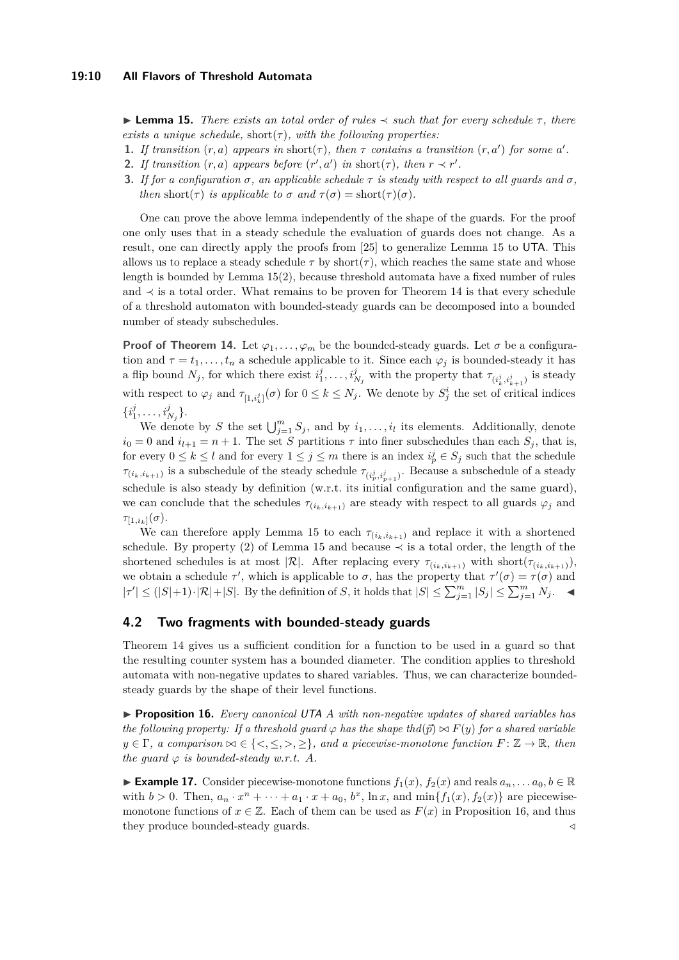#### **19:10 All Flavors of Threshold Automata**

<span id="page-9-0"></span>I **Lemma 15.** *There exists an total order of rules* ≺ *such that for every schedule τ , there exists a unique schedule,* short $(\tau)$ *, with the following properties:* 

- **1.** *If transition*  $(r, a)$  *appears in* short $(\tau)$ *, then*  $\tau$  *contains a transition*  $(r, a')$  *for some*  $a'$ *.*
- **2.** *If transition*  $(r, a)$  *appears before*  $(r', a')$  *in* short $(\tau)$ *, then*  $r \prec r'$ *.*
- **3.** *If for a configuration*  $\sigma$ *, an applicable schedule*  $\tau$  *is steady with respect to all guards and*  $\sigma$ *, then* short( $\tau$ ) *is applicable to*  $\sigma$  *and*  $\tau(\sigma) =$  short( $\tau$ )( $\sigma$ )*.*

One can prove the above lemma independently of the shape of the guards. For the proof one only uses that in a steady schedule the evaluation of guards does not change. As a result, one can directly apply the proofs from [\[25\]](#page-16-1) to generalize Lemma [15](#page-9-0) to UTA. This allows us to replace a steady schedule  $\tau$  by short $(\tau)$ , which reaches the same state and whose length is bounded by Lemma [15\(](#page-9-0)2), because threshold automata have a fixed number of rules and ≺ is a total order. What remains to be proven for Theorem [14](#page-8-2) is that every schedule of a threshold automaton with bounded-steady guards can be decomposed into a bounded number of steady subschedules.

**Proof of Theorem [14.](#page-8-2)** Let  $\varphi_1, \ldots, \varphi_m$  be the bounded-steady guards. Let  $\sigma$  be a configuration and  $\tau = t_1, \ldots, t_n$  a schedule applicable to it. Since each  $\varphi_i$  is bounded-steady it has a flip bound  $N_j$ , for which there exist  $i_1^j, \ldots, i_{N_j}^j$  with the property that  $\tau_{(i_k^j, i_{k+1}^j)}$  is steady with respect to  $\varphi_j$  and  $\tau_{[1,i^j_k]}(\sigma)$  for  $0 \le k \le N_j$ . We denote by  $S^i_j$  the set of critical indices  $\{i_1^j, \ldots, i_{N_j}^j\}.$ 

We denote by *S* the set  $\bigcup_{j=1}^{m} S_j$ , and by  $i_1, \ldots, i_l$  its elements. Additionally, denote  $i_0 = 0$  and  $i_{l+1} = n + 1$ . The set *S* partitions  $\tau$  into finer subschedules than each  $S_j$ , that is, for every  $0 \leq k \leq l$  and for every  $1 \leq j \leq m$  there is an index  $i_p^j \in S_j$  such that the schedule  $\tau_{(i_k, i_{k+1})}$  is a subschedule of the steady schedule  $\tau_{(i^j_p, i^j_{p+1})}$ . Because a subschedule of a steady schedule is also steady by definition (w.r.t. its initial configuration and the same guard), we can conclude that the schedules  $\tau_{(i_k,i_{k+1})}$  are steady with respect to all guards  $\varphi_j$  and  $\tau_{[1,i_k]}(\sigma)$ .

We can therefore apply Lemma [15](#page-9-0) to each  $\tau_{(i_k,i_{k+1})}$  and replace it with a shortened schedule. By property (2) of Lemma [15](#page-9-0) and because  $\prec$  is a total order, the length of the shortened schedules is at most  $|\mathcal{R}|$ . After replacing every  $\tau_{(i_k,i_{k+1})}$  with short $(\tau_{(i_k,i_{k+1})})$ , we obtain a schedule  $\tau'$ , which is applicable to  $\sigma$ , has the property that  $\tau'(\sigma) = \tau(\sigma)$  and  $|\tau'| \leq (|S|+1) \cdot |\mathcal{R}| + |S|$ . By the definition of *S*, it holds that  $|S| \leq \sum_{j=1}^{m} |S_j| \leq \sum_{j=1}^{m} N_j$ .

## **4.2 Two fragments with bounded-steady guards**

Theorem [14](#page-8-2) gives us a sufficient condition for a function to be used in a guard so that the resulting counter system has a bounded diameter. The condition applies to threshold automata with non-negative updates to shared variables. Thus, we can characterize boundedsteady guards by the shape of their level functions.

<span id="page-9-1"></span>I **Proposition 16.** *Every canonical* UTA *A with non-negative updates of shared variables has the following property: If a threshold guard*  $\varphi$  *has the shape thd*( $\vec{p}$ )  $\propto$   $F(y)$  *for a shared variable*  $y \in \Gamma$ *, a comparison*  $\bowtie \in \{<,\leq,>,\geq\}$ *, and a piecewise-monotone function*  $F: \mathbb{Z} \to \mathbb{R}$ *, then the quard*  $\varphi$  *is bounded-steady w.r.t. A.* 

► **Example 17.** Consider piecewise-monotone functions  $f_1(x)$ ,  $f_2(x)$  and reals  $a_n, \ldots, a_0, b \in \mathbb{R}$ with  $b > 0$ . Then,  $a_n \cdot x^n + \cdots + a_1 \cdot x + a_0$ ,  $b^x$ ,  $\ln x$ , and  $\min\{f_1(x), f_2(x)\}$  are piecewisemonotone functions of  $x \in \mathbb{Z}$ . Each of them can be used as  $F(x)$  in Proposition [16,](#page-9-1) and thus they produce bounded-steady guards. */*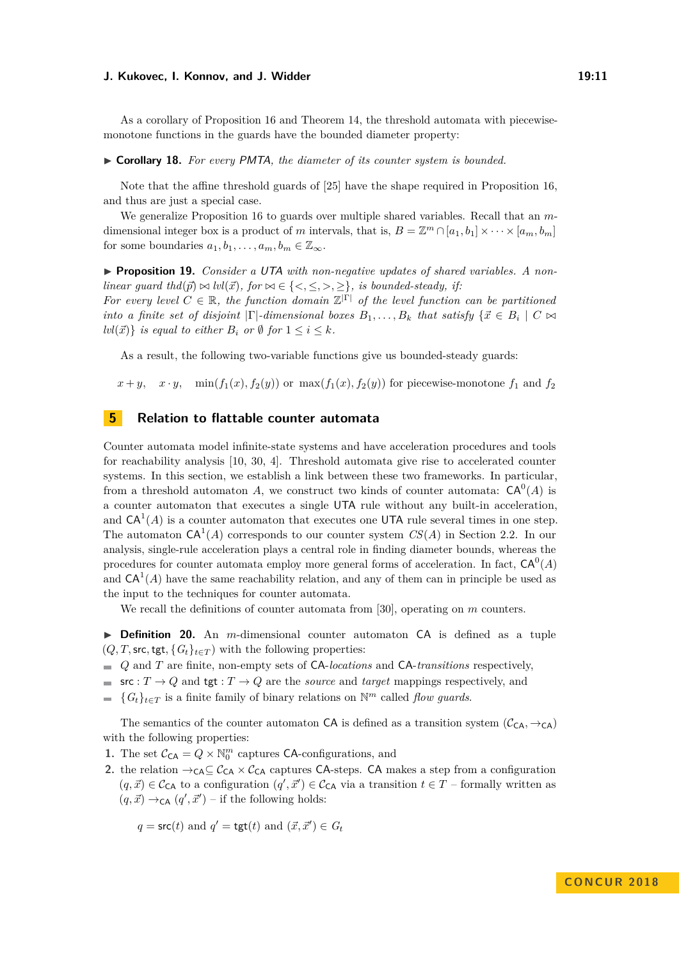As a corollary of Proposition [16](#page-9-1) and Theorem [14,](#page-8-2) the threshold automata with piecewisemonotone functions in the guards have the bounded diameter property:

<span id="page-10-0"></span>▶ **Corollary 18.** For every PMTA, the diameter of its counter system is bounded.

Note that the affine threshold guards of [\[25\]](#page-16-1) have the shape required in Proposition [16,](#page-9-1) and thus are just a special case.

We generalize Proposition [16](#page-9-1) to guards over multiple shared variables. Recall that an *m*dimensional integer box is a product of *m* intervals, that is,  $B = \mathbb{Z}^m \cap [a_1, b_1] \times \cdots \times [a_m, b_m]$ for some boundaries  $a_1, b_1, \ldots, a_m, b_m \in \mathbb{Z}_{\infty}$ .

▶ **Proposition 19.** *Consider a UTA with non-negative updates of shared variables. A nonlinear guard thd*( $\vec{p}$ )  $\bowtie$  *lvl*( $\vec{x}$ )*, for*  $\bowtie \in \{<,\leq,>,\geq\}$ *, is bounded-steady, if:* 

For every level  $C \in \mathbb{R}$ , the function domain  $\mathbb{Z}^{|\Gamma|}$  of the level function can be partitioned *into a finite set of disjoint*  $|\Gamma|$ *-dimensional boxes*  $B_1, \ldots, B_k$  *that satisfy*  $\{\vec{x} \in B_i \mid C \bowtie$ *lvl*( $\vec{x}$ )} *is equal to either*  $B_i$  *or*  $\emptyset$  *for*  $1 \leq i \leq k$ *.* 

As a result, the following two-variable functions give us bounded-steady guards:

 $x + y$ ,  $x \cdot y$ , min $(f_1(x), f_2(y))$  or max $(f_1(x), f_2(y))$  for piecewise-monotone  $f_1$  and  $f_2$ 

## **5 Relation to flattable counter automata**

Counter automata model infinite-state systems and have acceleration procedures and tools for reachability analysis [\[10,](#page-15-4) [30,](#page-16-10) [4\]](#page-15-5). Threshold automata give rise to accelerated counter systems. In this section, we establish a link between these two frameworks. In particular, from a threshold automaton A, we construct two kinds of counter automata:  $CA^0(A)$  is a counter automaton that executes a single UTA rule without any built-in acceleration, and  $CA^1(A)$  is a counter automaton that executes one UTA rule several times in one step. The automaton  $CA^1(A)$  corresponds to our counter system  $CS(A)$  in Section [2.2.](#page-3-4) In our analysis, single-rule acceleration plays a central role in finding diameter bounds, whereas the procedures for counter automata employ more general forms of acceleration. In fact,  $CA^0(A)$ and  $CA<sup>1</sup>(A)$  have the same reachability relation, and any of them can in principle be used as the input to the techniques for counter automata.

We recall the definitions of counter automata from [\[30\]](#page-16-10), operating on *m* counters.

▶ **Definition 20.** An *m*-dimensional counter automaton CA is defined as a tuple  $(Q, T, \text{src}, \text{tgt}, \{G_t\}_{t \in T})$  with the following properties:

- *Q* and *T* are finite, non-empty sets of CA-*locations* and CA-*transitions* respectively,
- src :  $T \to Q$  and tgt :  $T \to Q$  are the *source* and *target* mappings respectively, and
- ${G_t}_{t \in T}$  is a finite family of binary relations on  $\mathbb{N}^m$  called *flow guards*.

The semantics of the counter automaton CA is defined as a transition system  $(C_{CA}, \rightarrow_{CA})$ with the following properties:

**1.** The set  $C_{CA} = Q \times \mathbb{N}_0^m$  captures CA-configurations, and

**2.** the relation  $\rightarrow$ <sub>CA</sub> $\subseteq$ C<sub>CA</sub>  $\times$ C<sub>CA</sub> captures CA-steps. CA makes a step from a configuration  $(q, \vec{x}) \in C_{CA}$  to a configuration  $(q', \vec{x}') \in C_{CA}$  via a transition  $t \in T$  – formally written as  $(q, \vec{x}) \rightarrow_{\mathsf{CA}} (q', \vec{x}')$  – if the following holds:

 $q = \mathsf{src}(t)$  and  $q' = \mathsf{tgt}(t)$  and  $(\vec{x}, \vec{x}') \in G_t$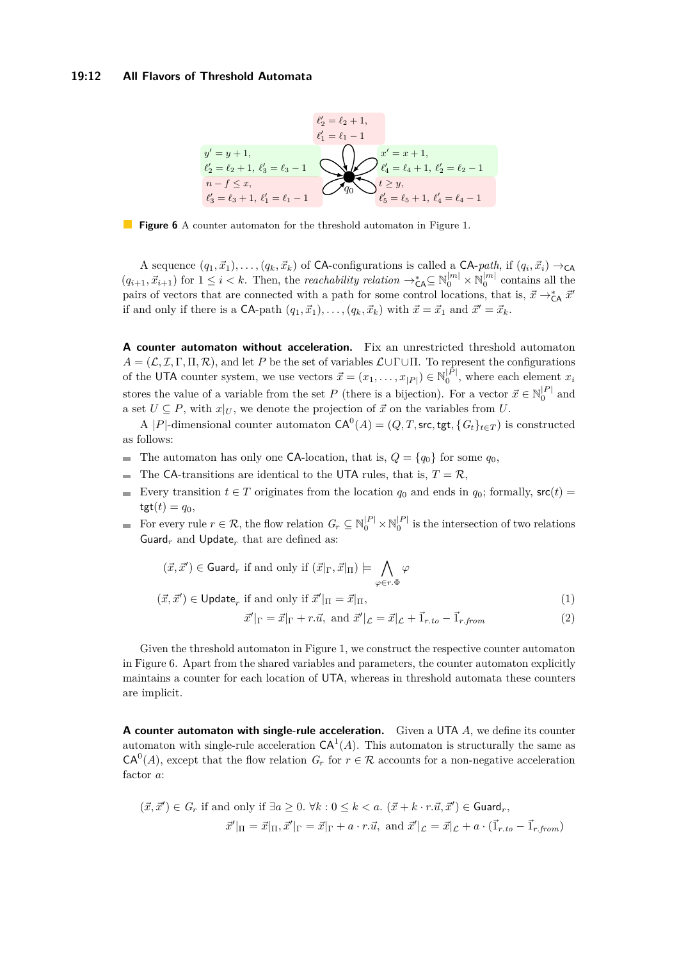#### <span id="page-11-0"></span>**19:12 All Flavors of Threshold Automata**



**Figure 6** A counter automaton for the threshold automaton in Figure [1.](#page-1-0)

A sequence  $(q_1, \vec{x}_1), \ldots, (q_k, \vec{x}_k)$  of CA-configurations is called a CA-*path*, if  $(q_i, \vec{x}_i) \rightarrow_{\text{CA}}$  $(q_{i+1}, \vec{x}_{i+1})$  for  $1 \leq i < k$ . Then, the *reachability relation*  $\rightarrow_{\mathsf{CA}}^* \subseteq \mathbb{N}_0^{|m|} \times \mathbb{N}_0^{|m|}$  contains all the pairs of vectors that are connected with a path for some control locations, that is,  $\vec{x} \rightarrow_{\mathsf{CA}}^* \vec{x}'$ if and only if there is a CA-path  $(q_1, \vec{x}_1), \ldots, (q_k, \vec{x}_k)$  with  $\vec{x} = \vec{x}_1$  and  $\vec{x}' = \vec{x}_k$ .

**A counter automaton without acceleration.** Fix an unrestricted threshold automaton  $A = (L, \mathcal{I}, \Gamma, \Pi, \mathcal{R})$ , and let *P* be the set of variables  $L \cup \Gamma \cup \Pi$ . To represent the configurations of the UTA counter system, we use vectors  $\vec{x} = (x_1, \ldots, x_{|P|}) \in \mathbb{N}_0^{|P|}$ , where each element  $x_i$ stores the value of a variable from the set *P* (there is a bijection). For a vector  $\vec{x} \in \mathbb{N}_0^{|P|}$  and a set  $U \subseteq P$ , with  $x|_U$ , we denote the projection of  $\vec{x}$  on the variables from  $U$ .

A |P|-dimensional counter automaton  $CA^{0}(A) = (Q, T, \text{src}, \text{tgt}, \{G_t\}_{t \in T})$  is constructed as follows:

- The automaton has only one CA-location, that is,  $Q = \{q_0\}$  for some  $q_0$ ,  $\blacksquare$
- The CA-transitions are identical to the UTA rules, that is,  $T = \mathcal{R}$ ,  $\overline{\phantom{a}}$
- Every transition  $t \in T$  originates from the location  $q_0$  and ends in  $q_0$ ; formally,  $src(t)$  $\text{tgt}(t) = q_0,$
- For every rule  $r \in \mathcal{R}$ , the flow relation  $G_r \subseteq \mathbb{N}_0^{|P|} \times \mathbb{N}_0^{|P|}$  is the intersection of two relations Guard<sub>*r*</sub> and Update<sub>*r*</sub> that are defined as:

$$
(\vec{x}, \vec{x}') \in \text{Guard}_r \text{ if and only if } (\vec{x}|_{\Gamma}, \vec{x}|_{\Pi}) \models \bigwedge_{\varphi \in r.\Phi} \varphi
$$
  

$$
(\vec{x}, \vec{x}') \in \text{Update}_r \text{ if and only if } \vec{x}'|_{\Pi} = \vec{x}|_{\Pi},
$$
  

$$
\vec{x}'|_{\Gamma} = \vec{x}|_{\Gamma} + r.\vec{u}, \text{ and } \vec{x}'|_{\mathcal{L}} = \vec{x}|_{\mathcal{L}} + \vec{1}_{r.to} - \vec{1}_{r-from}
$$
 (2)

Given the threshold automaton in Figure [1,](#page-1-0) we construct the respective counter automaton

in Figure [6.](#page-11-0) Apart from the shared variables and parameters, the counter automaton explicitly maintains a counter for each location of UTA, whereas in threshold automata these counters are implicit.

**A counter automaton with single-rule acceleration.** Given a UTA *A*, we define its counter automaton with single-rule acceleration  $CA<sup>1</sup>(A)$ . This automaton is structurally the same as  $CA<sup>0</sup>(A)$ , except that the flow relation  $G_r$  for  $r \in \mathcal{R}$  accounts for a non-negative acceleration factor *a*:

$$
(\vec{x}, \vec{x}') \in G_r \text{ if and only if } \exists a \ge 0. \ \forall k : 0 \le k < a. \ (\vec{x} + k \cdot r. \vec{u}, \vec{x}') \in \text{Guard}_r,
$$
\n
$$
\vec{x}'|_{\Pi} = \vec{x}|_{\Pi}, \vec{x}'|_{\Gamma} = \vec{x}|_{\Gamma} + a \cdot r. \vec{u}, \text{ and } \vec{x}'|_{\mathcal{L}} = \vec{x}|_{\mathcal{L}} + a \cdot (\vec{1}_{r \cdot to} - \vec{1}_{r \cdot from})
$$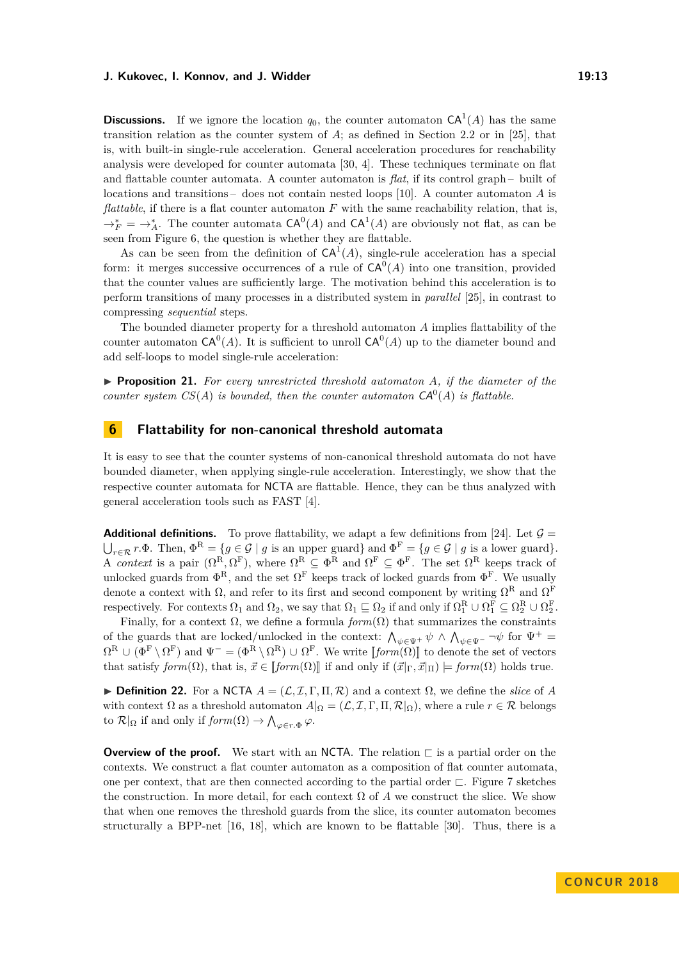**Discussions.** If we ignore the location  $q_0$ , the counter automaton  $CA^1(A)$  has the same transition relation as the counter system of *A*; as defined in Section [2.2](#page-3-4) or in [\[25\]](#page-16-1), that is, with built-in single-rule acceleration. General acceleration procedures for reachability analysis were developed for counter automata [\[30,](#page-16-10) [4\]](#page-15-5). These techniques terminate on flat and flattable counter automata. A counter automaton is *flat*, if its control graph – built of locations and transitions – does not contain nested loops [\[10\]](#page-15-4). A counter automaton *A* is *flattable*, if there is a flat counter automaton F with the same reachability relation, that is,  $\rightarrow_F^* = \rightarrow_A^*$ . The counter automata  $CA^0(A)$  and  $CA^1(A)$  are obviously not flat, as can be seen from Figure [6,](#page-11-0) the question is whether they are flattable.

As can be seen from the definition of  $CA<sup>1</sup>(A)$ , single-rule acceleration has a special form: it merges successive occurrences of a rule of  $CA^0(A)$  into one transition, provided that the counter values are sufficiently large. The motivation behind this acceleration is to perform transitions of many processes in a distributed system in *parallel* [\[25\]](#page-16-1), in contrast to compressing *sequential* steps.

The bounded diameter property for a threshold automaton *A* implies flattability of the counter automaton  $CA^0(A)$ . It is sufficient to unroll  $CA^0(A)$  up to the diameter bound and add self-loops to model single-rule acceleration:

<span id="page-12-0"></span>▶ **Proposition 21.** For every unrestricted threshold automaton *A*, if the diameter of the *counter system*  $CS(A)$  *is bounded, then the counter automaton*  $CA^0(A)$  *is flattable.* 

## <span id="page-12-1"></span>**6 Flattability for non-canonical threshold automata**

It is easy to see that the counter systems of non-canonical threshold automata do not have bounded diameter, when applying single-rule acceleration. Interestingly, we show that the respective counter automata for NCTA are flattable. Hence, they can be thus analyzed with general acceleration tools such as FAST [\[4\]](#page-15-5).

**Additional definitions.** To prove flattability, we adapt a few definitions from [\[24\]](#page-16-2). Let  $\mathcal{G} =$  $\bigcup_{r \in \mathcal{R}} r.\Phi$ . Then,  $\Phi^R = \{ g \in \mathcal{G} \mid g \text{ is an upper guard} \}$  and  $\Phi^F = \{ g \in \mathcal{G} \mid g \text{ is a lower guard} \}.$ A *context* is a pair  $(\Omega^R, \Omega^F)$ , where  $\Omega^R \subseteq \Phi^R$  and  $\Omega^F \subseteq \Phi^F$ . The set  $\Omega^R$  keeps track of unlocked guards from  $\Phi^R$ , and the set  $\Omega^F$  keeps track of locked guards from  $\Phi^F$ . We usually denote a context with  $\Omega$ , and refer to its first and second component by writing  $\Omega^{\mathcal{R}}$  and  $\Omega^{\mathcal{F}}$ respectively. For contexts  $\Omega_1$  and  $\Omega_2$ , we say that  $\Omega_1 \sqsubseteq \Omega_2$  if and only if  $\Omega_1^{\mathbb{R}} \cup \Omega_1^{\mathbb{F}} \subseteq \Omega_2^{\mathbb{R}} \cup \Omega_2^{\mathbb{F}}$ .

Finally, for a context  $\Omega$ , we define a formula  $form(\Omega)$  that summarizes the constraints of the guards that are locked/unlocked in the context:  $\bigwedge_{\psi \in \Psi^+} \psi \wedge \bigwedge_{\psi \in \Psi^-} \neg \psi$  for  $\Psi^+ =$  $\Omega^R \cup (\Phi^F \setminus \Omega^F)$  and  $\Psi^- = (\Phi^R \setminus \Omega^R) \cup \Omega^F$ . We write  $[[form(\Omega)]]$  to denote the set of vectors that satisfy  $form(\Omega)$ , that is,  $\vec{x} \in \llbracket form(\Omega) \rrbracket$  if and only if  $(\vec{x}|_{\Gamma}, \vec{x}|_{\Pi}) \models form(\Omega)$  holds true.

 $\triangleright$  **Definition 22.** For a NCTA *A* = (*L, I, Γ, Π, R*) and a context  $\Omega$ , we define the *slice* of *A* with context  $\Omega$  as a threshold automaton  $A|_{\Omega} = (\mathcal{L}, \mathcal{I}, \Gamma, \Pi, \mathcal{R}|_{\Omega})$ , where a rule  $r \in \mathcal{R}$  belongs to  $\mathcal{R}|_{\Omega}$  if and only if  $\text{form}(\Omega) \to \bigwedge_{\varphi \in r.\Phi} \varphi$ .

**Overview of the proof.** We start with an NCTA. The relation  $\sqsubset$  is a partial order on the contexts. We construct a flat counter automaton as a composition of flat counter automata, one per context, that are then connected according to the partial order  $\sqsubset$ . Figure [7](#page-13-0) sketches the construction. In more detail, for each context  $\Omega$  of  $A$  we construct the slice. We show that when one removes the threshold guards from the slice, its counter automaton becomes structurally a BPP-net [\[16,](#page-15-8) [18\]](#page-15-9), which are known to be flattable [\[30\]](#page-16-10). Thus, there is a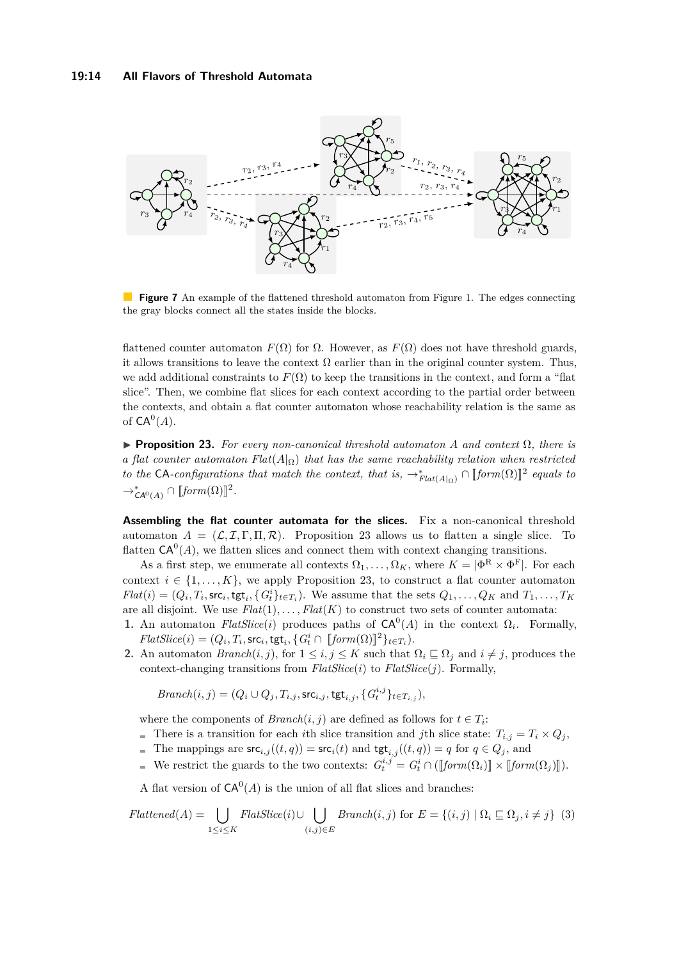<span id="page-13-0"></span>

**Figure 7** An example of the flattened threshold automaton from Figure [1.](#page-1-0) The edges connecting the gray blocks connect all the states inside the blocks.

flattened counter automaton  $F(\Omega)$  for  $\Omega$ . However, as  $F(\Omega)$  does not have threshold guards, it allows transitions to leave the context  $\Omega$  earlier than in the original counter system. Thus, we add additional constraints to  $F(\Omega)$  to keep the transitions in the context, and form a "flat slice". Then, we combine flat slices for each context according to the partial order between the contexts, and obtain a flat counter automaton whose reachability relation is the same as of  $\mathsf{CA}^0(A)$ .

<span id="page-13-1"></span>**Proposition 23.** For every non-canonical threshold automaton A and context  $\Omega$ , there is *a flat counter automaton Flat* $(A_{\Omega})$  *that has the same reachability relation when restricted to the* CA*-configurations that match the context, that is,*  $\rightarrow^*_{Flat(A|_{\Omega})} \cap [form(\Omega)]^2$  equals to  $\rightarrow_{\mathsf{CA}^0(A)}^* \cap [\mathit{form}(\Omega)]^2.$ 

**Assembling the flat counter automata for the slices.** Fix a non-canonical threshold automaton  $A = (\mathcal{L}, \mathcal{I}, \Gamma, \Pi, \mathcal{R})$ . Proposition [23](#page-13-1) allows us to flatten a single slice. To flatten  $CA^0(A)$ , we flatten slices and connect them with context changing transitions.

As a first step, we enumerate all contexts  $\Omega_1, \ldots, \Omega_K$ , where  $K = |\Phi^R \times \Phi^F|$ . For each context  $i \in \{1, ..., K\}$ , we apply Proposition [23,](#page-13-1) to construct a flat counter automaton  $Flat(i) = (Q_i, T_i, \mathsf{src}_i, \mathsf{tgt}_i, \{G_t^i\}_{t \in T_i})$ . We assume that the sets  $Q_1, \ldots, Q_K$  and  $T_1, \ldots, T_K$ are all disjoint. We use  $Flat(1), \ldots, Flat(K)$  to construct two sets of counter automata:

- **1.** An automaton *FlatSlice*(*i*) produces paths of  $CA^0(A)$  in the context  $\Omega_i$ . Formally, *FlatSlice*(*i*) =  $(Q_i, T_i, \text{src}_i, \text{tgt}_i, \{G_i^i \cap [\text{form}(\Omega)]^2\}_{t \in T_i})$ .
- **2.** An automaton *Branch* $(i, j)$ , for  $1 \leq i, j \leq K$  such that  $\Omega_i \subseteq \Omega_j$  and  $i \neq j$ , produces the context-changing transitions from *FlatSlice*(*i*) to *FlatSlice*(*j*). Formally,

$$
Branch(i,j) = (Q_i \cup Q_j, T_{i,j}, \mathsf{src}_{i,j}, \mathsf{tgt}_{i,j}, \{G_t^{i,j}\}_{t \in T_{i,j}}),
$$

where the components of  $Branch(i, j)$  are defined as follows for  $t \in T_i$ :

- There is a transition for each *i*th slice transition and *j*th slice state:  $T_{i,j} = T_i \times Q_j$ ,
- The mappings are  $\mathsf{src}_{i,j}((t,q)) = \mathsf{src}_{i}(t)$  and  $\mathsf{tgt}_{i,j}((t,q)) = q$  for  $q \in Q_j$ , and
- We restrict the guards to the two contexts:  $G_t^{i,j} = G_t^i \cap (\llbracket form(\Omega_i) \rrbracket \times \llbracket form(\Omega_j) \rrbracket)$ .

A flat version of  $CA^0(A)$  is the union of all flat slices and branches:

$$
Flattened(A) = \bigcup_{1 \le i \le K} FlatSlice(i) \cup \bigcup_{(i,j) \in E} Branch(i,j) \text{ for } E = \{(i,j) \mid \Omega_i \sqsubseteq \Omega_j, i \ne j\} \tag{3}
$$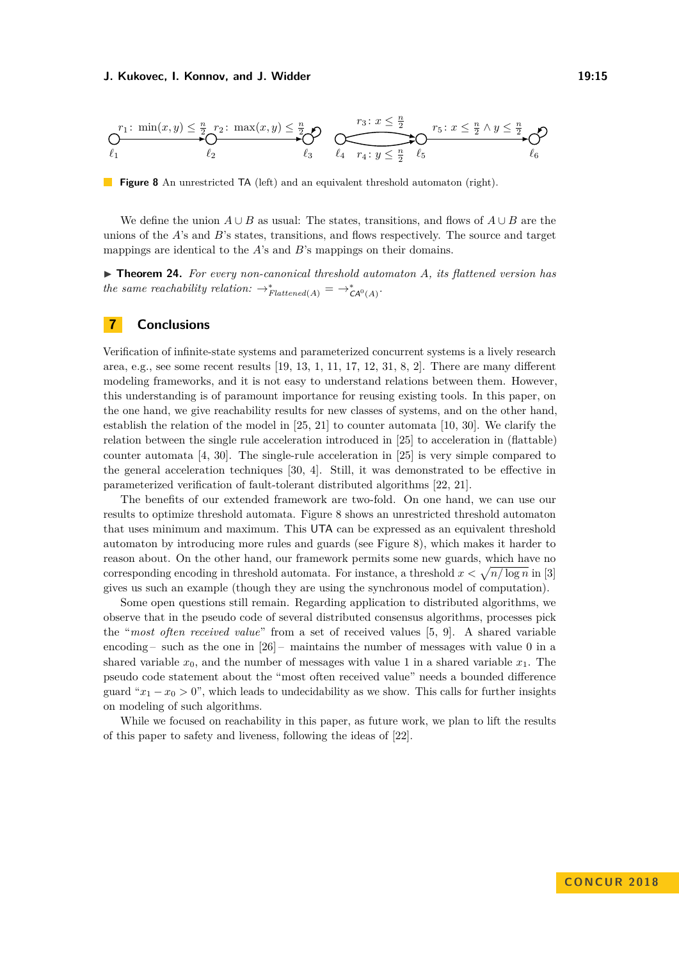<span id="page-14-1"></span>
$$
\bigcirc_{\ell_1}^{r_1\colon\min(x,y)\leq\frac{n}{2}}\bigcirc_{\ell_2}^{r_2\colon\max(x,y)\leq\frac{n}{2}}\bigcirc_{\ell_3}\bigcirc_{\ell_4}\overbrace{r_4\colon y\leq\frac{n}{2}}^{r_3\colon x\leq\frac{n}{2}}\bigcirc_{\ell_5}\overbrace{r_5\colon x\leq\frac{n}{2}\wedge y\leq\frac{n}{2}}^{r_4\to\ell_2}\bigcirc_{\ell_6}
$$

**Figure 8** An unrestricted TA (left) and an equivalent threshold automaton (right).

We define the union  $A \cup B$  as usual: The states, transitions, and flows of  $A \cup B$  are the unions of the *A*'s and *B*'s states, transitions, and flows respectively. The source and target mappings are identical to the *A*'s and *B*'s mappings on their domains.

<span id="page-14-0"></span>▶ **Theorem 24.** For every non-canonical threshold automaton A, its flattened version has *the same reachability relation:*  $\rightarrow_{Flattened(A)}^* = \rightarrow_{\mathsf{CA}^0(A)}^*$ .

## **7 Conclusions**

Verification of infinite-state systems and parameterized concurrent systems is a lively research area, e.g., see some recent results [\[19,](#page-15-10) [13,](#page-15-11) [1,](#page-15-12) [11,](#page-15-13) [17,](#page-15-14) [12,](#page-15-15) [31,](#page-16-12) [8,](#page-15-16) [2\]](#page-15-17). There are many different modeling frameworks, and it is not easy to understand relations between them. However, this understanding is of paramount importance for reusing existing tools. In this paper, on the one hand, we give reachability results for new classes of systems, and on the other hand, establish the relation of the model in [\[25,](#page-16-1) [21\]](#page-15-6) to counter automata [\[10,](#page-15-4) [30\]](#page-16-10). We clarify the relation between the single rule acceleration introduced in [\[25\]](#page-16-1) to acceleration in (flattable) counter automata [\[4,](#page-15-5) [30\]](#page-16-10). The single-rule acceleration in [\[25\]](#page-16-1) is very simple compared to the general acceleration techniques [\[30,](#page-16-10) [4\]](#page-15-5). Still, it was demonstrated to be effective in parameterized verification of fault-tolerant distributed algorithms [\[22,](#page-16-3) [21\]](#page-15-6).

The benefits of our extended framework are two-fold. On one hand, we can use our results to optimize threshold automata. Figure [8](#page-14-1) shows an unrestricted threshold automaton that uses minimum and maximum. This UTA can be expressed as an equivalent threshold automaton by introducing more rules and guards (see Figure [8\)](#page-14-1), which makes it harder to reason about. On the other hand, our framework permits some new guards, which have no corresponding encoding in threshold automata. For instance, a threshold  $x < \sqrt{n/\log n}$  in [\[3\]](#page-15-18) gives us such an example (though they are using the synchronous model of computation).

Some open questions still remain. Regarding application to distributed algorithms, we observe that in the pseudo code of several distributed consensus algorithms, processes pick the "*most often received value*" from a set of received values [\[5,](#page-15-19) [9\]](#page-15-20). A shared variable encoding – such as the one in  $[26]$  – maintains the number of messages with value 0 in a shared variable  $x_0$ , and the number of messages with value 1 in a shared variable  $x_1$ . The pseudo code statement about the "most often received value" needs a bounded difference guard " $x_1 - x_0 > 0$ ", which leads to undecidability as we show. This calls for further insights on modeling of such algorithms.

While we focused on reachability in this paper, as future work, we plan to lift the results of this paper to safety and liveness, following the ideas of [\[22\]](#page-16-3).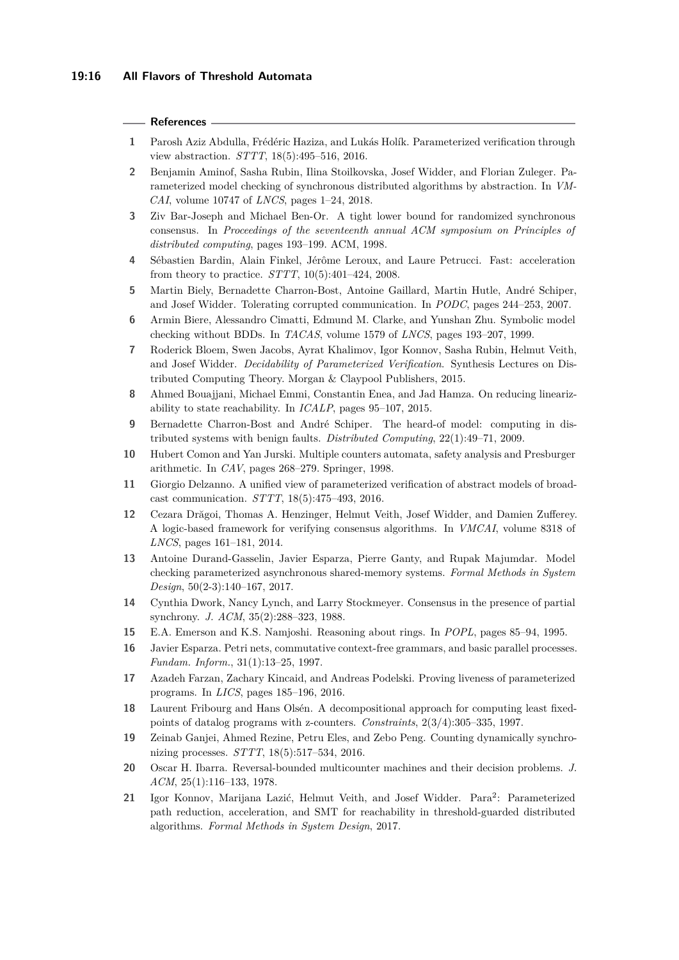#### **References**

- <span id="page-15-12"></span>**1** Parosh Aziz Abdulla, Frédéric Haziza, and Lukás Holík. Parameterized verification through view abstraction. *STTT*, 18(5):495–516, 2016.
- <span id="page-15-17"></span>**2** Benjamin Aminof, Sasha Rubin, Ilina Stoilkovska, Josef Widder, and Florian Zuleger. Parameterized model checking of synchronous distributed algorithms by abstraction. In *VM-CAI*, volume 10747 of *LNCS*, pages 1–24, 2018.
- <span id="page-15-18"></span>**3** Ziv Bar-Joseph and Michael Ben-Or. A tight lower bound for randomized synchronous consensus. In *Proceedings of the seventeenth annual ACM symposium on Principles of distributed computing*, pages 193–199. ACM, 1998.
- <span id="page-15-5"></span>**4** Sébastien Bardin, Alain Finkel, Jérôme Leroux, and Laure Petrucci. Fast: acceleration from theory to practice. *STTT*, 10(5):401–424, 2008.
- <span id="page-15-19"></span>**5** Martin Biely, Bernadette Charron-Bost, Antoine Gaillard, Martin Hutle, André Schiper, and Josef Widder. Tolerating corrupted communication. In *PODC*, pages 244–253, 2007.
- <span id="page-15-3"></span>**6** Armin Biere, Alessandro Cimatti, Edmund M. Clarke, and Yunshan Zhu. Symbolic model checking without BDDs. In *TACAS*, volume 1579 of *LNCS*, pages 193–207, 1999.
- <span id="page-15-2"></span>**7** Roderick Bloem, Swen Jacobs, Ayrat Khalimov, Igor Konnov, Sasha Rubin, Helmut Veith, and Josef Widder. *Decidability of Parameterized Verification*. Synthesis Lectures on Distributed Computing Theory. Morgan & Claypool Publishers, 2015.
- <span id="page-15-16"></span>**8** Ahmed Bouajjani, Michael Emmi, Constantin Enea, and Jad Hamza. On reducing linearizability to state reachability. In *ICALP*, pages 95–107, 2015.
- <span id="page-15-20"></span>**9** Bernadette Charron-Bost and André Schiper. The heard-of model: computing in distributed systems with benign faults. *Distributed Computing*, 22(1):49–71, 2009.
- <span id="page-15-4"></span>**10** Hubert Comon and Yan Jurski. Multiple counters automata, safety analysis and Presburger arithmetic. In *CAV*, pages 268–279. Springer, 1998.
- <span id="page-15-13"></span>**11** Giorgio Delzanno. A unified view of parameterized verification of abstract models of broadcast communication. *STTT*, 18(5):475–493, 2016.
- <span id="page-15-15"></span>**12** Cezara Drăgoi, Thomas A. Henzinger, Helmut Veith, Josef Widder, and Damien Zufferey. A logic-based framework for verifying consensus algorithms. In *VMCAI*, volume 8318 of *LNCS*, pages 161–181, 2014.
- <span id="page-15-11"></span>**13** Antoine Durand-Gasselin, Javier Esparza, Pierre Ganty, and Rupak Majumdar. Model checking parameterized asynchronous shared-memory systems. *Formal Methods in System Design*, 50(2-3):140–167, 2017.
- <span id="page-15-0"></span>**14** Cynthia Dwork, Nancy Lynch, and Larry Stockmeyer. Consensus in the presence of partial synchrony. *J. ACM*, 35(2):288–323, 1988.
- <span id="page-15-1"></span>**15** E.A. Emerson and K.S. Namjoshi. Reasoning about rings. In *POPL*, pages 85–94, 1995.
- <span id="page-15-8"></span>**16** Javier Esparza. Petri nets, commutative context-free grammars, and basic parallel processes. *Fundam. Inform.*, 31(1):13–25, 1997.
- <span id="page-15-14"></span>**17** Azadeh Farzan, Zachary Kincaid, and Andreas Podelski. Proving liveness of parameterized programs. In *LICS*, pages 185–196, 2016.
- <span id="page-15-9"></span>**18** Laurent Fribourg and Hans Olsén. A decompositional approach for computing least fixedpoints of datalog programs with z-counters. *Constraints*, 2(3/4):305–335, 1997.
- <span id="page-15-10"></span>**19** Zeinab Ganjei, Ahmed Rezine, Petru Eles, and Zebo Peng. Counting dynamically synchronizing processes. *STTT*, 18(5):517–534, 2016.
- <span id="page-15-7"></span>**20** Oscar H. Ibarra. Reversal-bounded multicounter machines and their decision problems. *J. ACM*, 25(1):116–133, 1978.
- <span id="page-15-6"></span>21 Igor Konnov, Marijana Lazić, Helmut Veith, and Josef Widder. Para<sup>2</sup>: Parameterized path reduction, acceleration, and SMT for reachability in threshold-guarded distributed algorithms. *Formal Methods in System Design*, 2017.